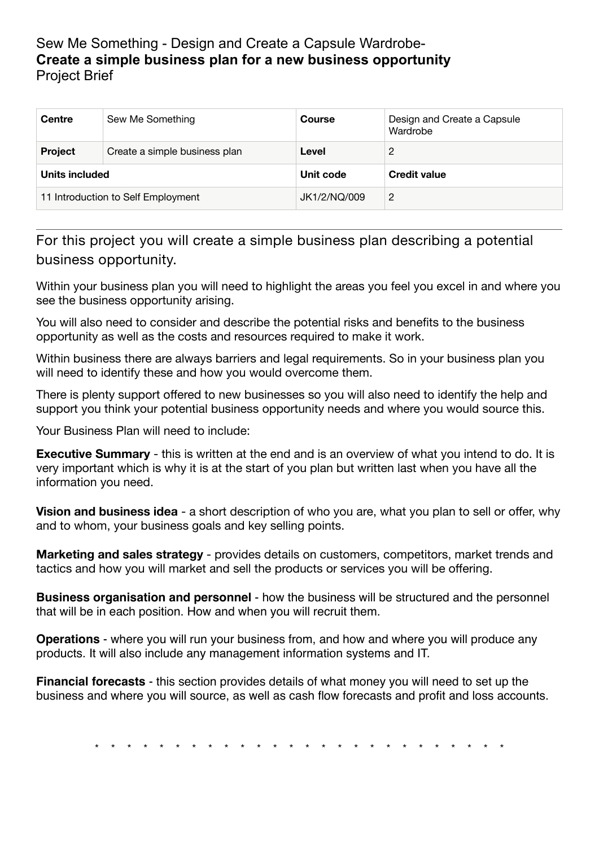## Sew Me Something - Design and Create a Capsule Wardrobe-**Create a simple business plan for a new business opportunity**  Project Brief

| <b>Centre</b>                      | Sew Me Something              | <b>Course</b> | Design and Create a Capsule<br>Wardrobe |
|------------------------------------|-------------------------------|---------------|-----------------------------------------|
| <b>Project</b>                     | Create a simple business plan | Level         | 2                                       |
| Units included                     |                               | Unit code     | <b>Credit value</b>                     |
| 11 Introduction to Self Employment |                               | JK1/2/NQ/009  | 2                                       |

For this project you will create a simple business plan describing a potential business opportunity.

Within your business plan you will need to highlight the areas you feel you excel in and where you see the business opportunity arising.

You will also need to consider and describe the potential risks and benefits to the business opportunity as well as the costs and resources required to make it work.

Within business there are always barriers and legal requirements. So in your business plan you will need to identify these and how you would overcome them.

There is plenty support offered to new businesses so you will also need to identify the help and support you think your potential business opportunity needs and where you would source this.

Your Business Plan will need to include:

**Executive Summary** - this is written at the end and is an overview of what you intend to do. It is very important which is why it is at the start of you plan but written last when you have all the information you need.

**Vision and business idea** - a short description of who you are, what you plan to sell or offer, why and to whom, your business goals and key selling points.

**Marketing and sales strategy** - provides details on customers, competitors, market trends and tactics and how you will market and sell the products or services you will be offering.

**Business organisation and personnel** - how the business will be structured and the personnel that will be in each position. How and when you will recruit them.

**Operations** - where you will run your business from, and how and where you will produce any products. It will also include any management information systems and IT.

**Financial forecasts** - this section provides details of what money you will need to set up the business and where you will source, as well as cash flow forecasts and profit and loss accounts.

\* \* \* \* \* \* \* \* \* \* \* \* \* \* \* \* \* \* \* \* \* \* \* \* \* \*